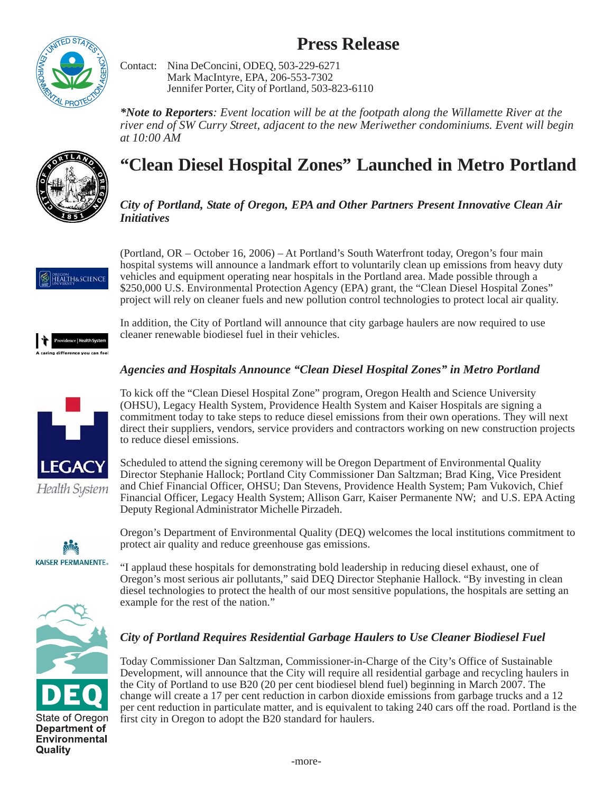# **Press Release**



Contact: Nina DeConcini, ODEQ, 503-229-6271 Mark MacIntyre, EPA, 206-553-7302 Jennifer Porter, City of Portland, 503-823-6110

*\*Note to Reporters: Event location will be at the footpath along the Willamette River at the river end of SW Curry Street, adjacent to the new Meriwether condominiums. Event will begin at 10:00 AM*



# **"Clean Diesel Hospital Zones" Launched in Metro Portland**

#### *City of Portland, State of Oregon, EPA and Other Partners Present Innovative Clean Air Initiatives*



(Portland, OR – October 16, 2006) – At Portland's South Waterfront today, Oregon's four main hospital systems will announce a landmark effort to voluntarily clean up emissions from heavy duty vehicles and equipment operating near hospitals in the Portland area. Made possible through a \$250,000 U.S. Environmental Protection Agency (EPA) grant, the "Clean Diesel Hospital Zones" project will rely on cleaner fuels and new pollution control technologies to protect local air quality.

ring difference you can fer

In addition, the City of Portland will announce that city garbage haulers are now required to use cleaner renewable biodiesel fuel in their vehicles.

## *Agencies and Hospitals Announce "Clean Diesel Hospital Zones" in Metro Portland*

To kick off the "Clean Diesel Hospital Zone" program, Oregon Health and Science University (OHSU), Legacy Health System, Providence Health System and Kaiser Hospitals are signing a commitment today to take steps to reduce diesel emissions from their own operations. They will next direct their suppliers, vendors, service providers and contractors working on new construction projects

Scheduled to attend the signing ceremony will be Oregon Department of Environmental Quality Director Stephanie Hallock; Portland City Commissioner Dan Saltzman; Brad King, Vice President and Chief Financial Officer, OHSU; Dan Stevens, Providence Health System; Pam Vukovich, Chief Financial Officer, Legacy Health System; Allison Garr, Kaiser Permanente NW; and U.S. EPA Acting



to reduce diesel emissions.

Deputy Regional Administrator Michelle Pirzadeh.

Health System



Oregon's Department of Environmental Quality (DEQ) welcomes the local institutions commitment to protect air quality and reduce greenhouse gas emissions.

"I applaud these hospitals for demonstrating bold leadership in reducing diesel exhaust, one of Oregon's most serious air pollutants," said DEQ Director Stephanie Hallock. "By investing in clean diesel technologies to protect the health of our most sensitive populations, the hospitals are setting an example for the rest of the nation."

## *City of Portland Requires Residential Garbage Haulers to Use Cleaner Biodiesel Fuel*

Today Commissioner Dan Saltzman, Commissioner-in-Charge of the City's Office of Sustainable Development, will announce that the City will require all residential garbage and recycling haulers in the City of Portland to use B20 (20 per cent biodiesel blend fuel) beginning in March 2007. The change will create a 17 per cent reduction in carbon dioxide emissions from garbage trucks and a 12 per cent reduction in particulate matter, and is equivalent to taking 240 cars off the road. Portland is the first city in Oregon to adopt the B20 standard for haulers.